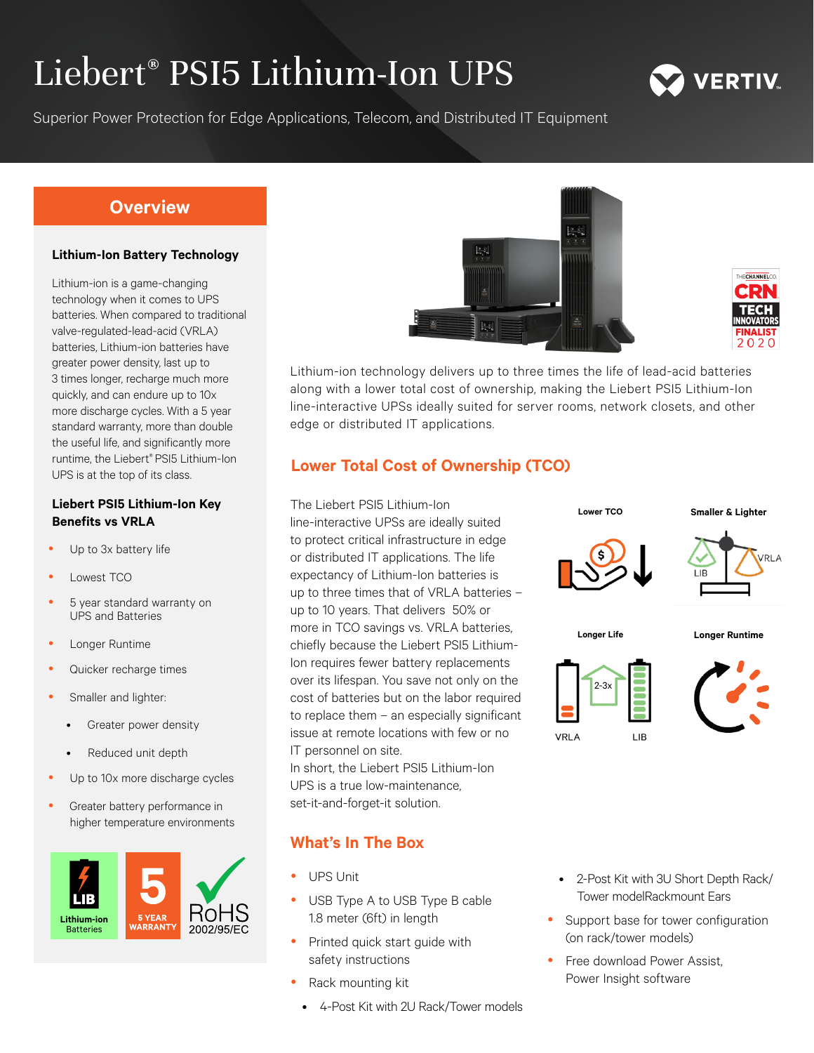# Liebert® PSI5 Lithium-Ion UPS



## **Overview**

#### **Lithium-Ion Battery Technology**

Lithium-ion is a game-changing technology when it comes to UPS batteries. When compared to traditional valve-regulated-lead-acid (VRLA) batteries, Lithium-ion batteries have greater power density, last up to 3 times longer, recharge much more quickly, and can endure up to 10x more discharge cycles. With a 5 year standard warranty, more than double the useful life, and significantly more runtime, the Liebert® PSI5 Lithium-Ion UPS is at the top of its class.

#### **Liebert PSI5 Lithium-Ion Key Benefits vs VRLA**

- Up to 3x battery life
- Lowest TCO
- 5 year standard warranty on UPS and Batteries
- Longer Runtime
- Quicker recharge times
- Smaller and lighter:
	- Greater power density
	- Reduced unit depth
- Up to 10x more discharge cycles
- Greater battery performance in higher temperature environments







Lithium-ion technology delivers up to three times the life of lead-acid batteries along with a lower total cost of ownership, making the Liebert PSI5 Lithium-Ion line-interactive UPSs ideally suited for server rooms, network closets, and other edge or distributed IT applications.

## **Lower Total Cost of Ownership (TCO)**

The Liebert PSI5 Lithium-Ion line-interactive UPSs are ideally suited to protect critical infrastructure in edge or distributed IT applications. The life expectancy of Lithium-Ion batteries is up to three times that of VRLA batteries – up to 10 years. That delivers 50% or more in TCO savings vs. VRLA batteries, chiefly because the Liebert PSI5 Lithium-Ion requires fewer battery replacements over its lifespan. You save not only on the cost of batteries but on the labor required to replace them – an especially significant issue at remote locations with few or no IT personnel on site.

In short, the Liebert PSI5 Lithium-Ion UPS is a true low-maintenance, set-it-and-forget-it solution.

### **What's In The Box**

- **UPS Unit**
- USB Type A to USB Type B cable 1.8 meter (6ft) in length
- Printed quick start guide with safety instructions
- Rack mounting kit
	- 4-Post Kit with 2U Rack/Tower models



- 2-Post Kit with 3U Short Depth Rack/ Tower modelRackmount Ears
- Support base for tower configuration (on rack/tower models)
- Free download Power Assist, Power Insight software